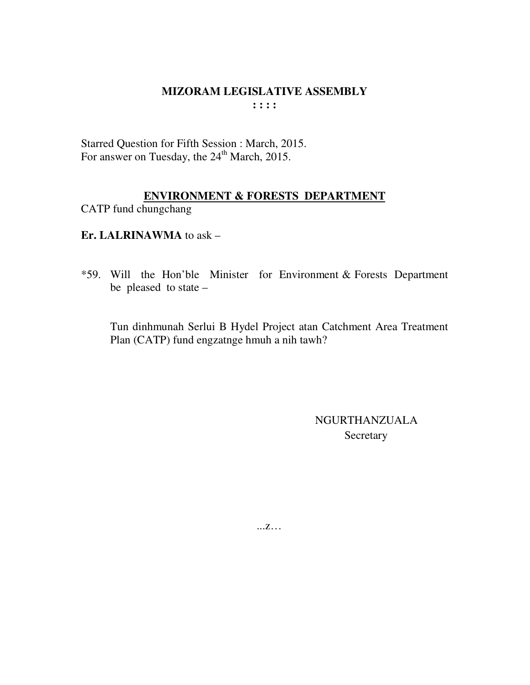Starred Question for Fifth Session : March, 2015. For answer on Tuesday, the 24<sup>th</sup> March, 2015.

# **ENVIRONMENT & FORESTS DEPARTMENT**

CATP fund chungchang

Er. LALRINAWMA to ask  $-$ 

\*59. Will the Hon'ble Minister for Environment & Forests Department be pleased to state  $-$ 

Tun dinhmunah Serlui B Hydel Project atan Catchment Area Treatment Plan (CATP) fund engzatnge hmuh a nih tawh?

> **NGURTHANZUALA** Secretary

 $\dots Z\dots$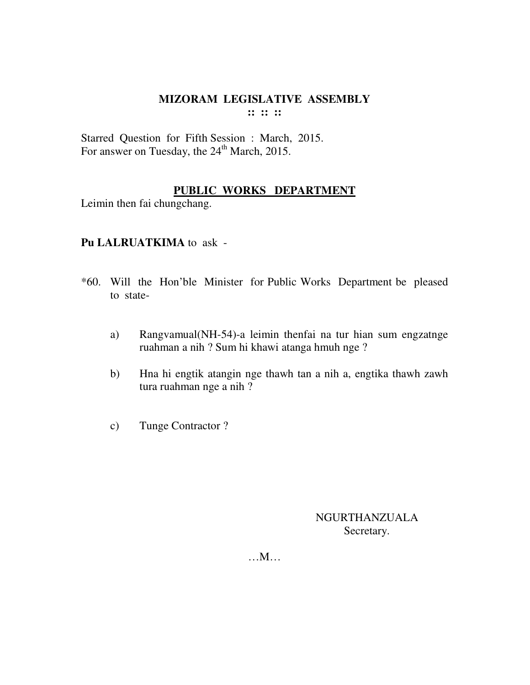Starred Question for Fifth Session : March, 2015. For answer on Tuesday, the 24<sup>th</sup> March, 2015.

# **PUBLIC WORKS DEPARTMENT**

Leimin then fai chungchang.

# **Pu LALRUATKIMA** to ask -

- \*60. Will the Hon'ble Minister for Public Works Department be pleased to state
	- a) Rangvamual(NH-54)-a leimin thenfai na tur hian sum engzatnge ruahman a nih ? Sum hi khawi atanga hmuh nge ?
	- b) Hna hi engtik atangin nge thawh tan a nih a, engtika thawh zawh tura ruahman nge a nih ?
	- c) Tunge Contractor ?

NGURTHANZUALA Secretary.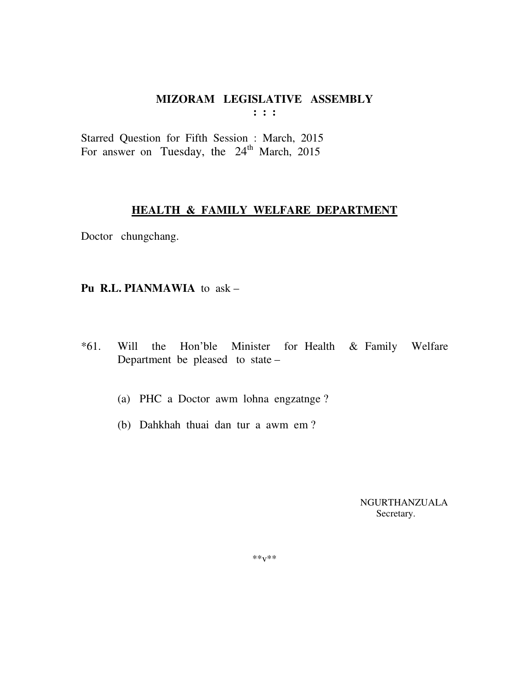#### MIZORAM LEGISLATIVE ASSEMBLY  $\mathbf{1}$   $\mathbf{1}$   $\mathbf{1}$

Starred Question for Fifth Session : March, 2015 For answer on Tuesday, the 24<sup>th</sup> March, 2015

#### **HEALTH & FAMILY WELFARE DEPARTMENT**

Doctor chungchang.

#### Pu R.L. PIANMAWIA to ask -

- Will the Hon'ble Minister for Health & Family Welfare  $*61.$ Department be pleased to state -
	- (a) PHC a Doctor awm lohna engzatnge?
	- (b) Dahkhah thuai dan tur a awm em?

NGURTHANZUALA Secretary.

 $***V***$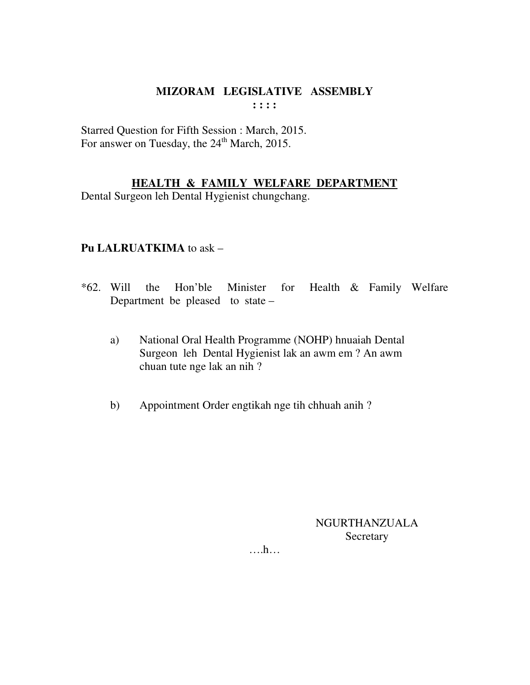Starred Question for Fifth Session : March, 2015. For answer on Tuesday, the 24<sup>th</sup> March, 2015.

#### HEALTH & FAMILY WELFARE DEPARTMENT

Dental Surgeon leh Dental Hygienist chungchang.

## Pu LALRUATKIMA to ask -

- Health & Family Welfare  $*62.$  Will Hon'ble the Minister for Department be pleased to state –
	- National Oral Health Programme (NOHP) hnuaiah Dental a) Surgeon leh Dental Hygienist lak an awm em ? An awm chuan tute nge lak an nih?
	- Appointment Order engtikah nge tih chhuah anih?  $b)$

NGURTHANZUALA Secretary

 $\dots$ ...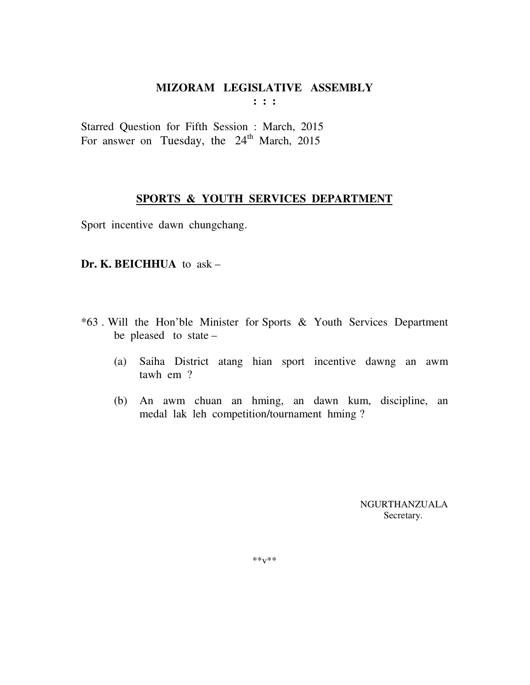Starred Question for Fifth Session : March, 2015 For answer on Tuesday, the  $24<sup>th</sup>$  March, 2015

#### **SPORTS & YOUTH SERVICES DEPARTMENT**

Sport incentive dawn chungchang.

#### **Dr. K. BEICHHUA** to ask –

- \*63 . Will the Hon'ble Minister for Sports & Youth Services Department be pleased to state –
	- (a) Saiha District atang hian sport incentive dawng an awm tawh em ?
	- (b) An awm chuan an hming, an dawn kum, discipline, an medal lak leh competition/tournament hming ?

 NGURTHANZUALA Secretary.

\*\*v\*\*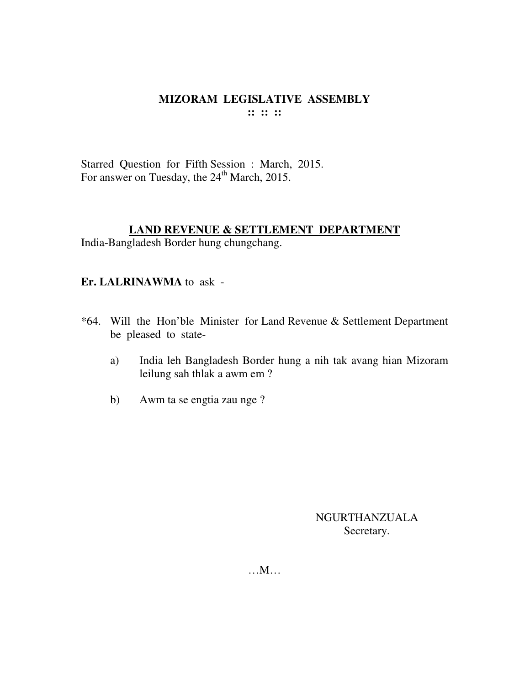Starred Question for Fifth Session : March, 2015. For answer on Tuesday, the 24<sup>th</sup> March, 2015.

#### **LAND REVENUE & SETTLEMENT DEPARTMENT**

India-Bangladesh Border hung chungchang.

#### **Er. LALRINAWMA** to ask -

- \*64. Will the Hon'ble Minister for Land Revenue & Settlement Department be pleased to state
	- a) India leh Bangladesh Border hung a nih tak avang hian Mizoram leilung sah thlak a awm em ?
	- b) Awm ta se engtia zau nge ?

NGURTHANZUALA Secretary.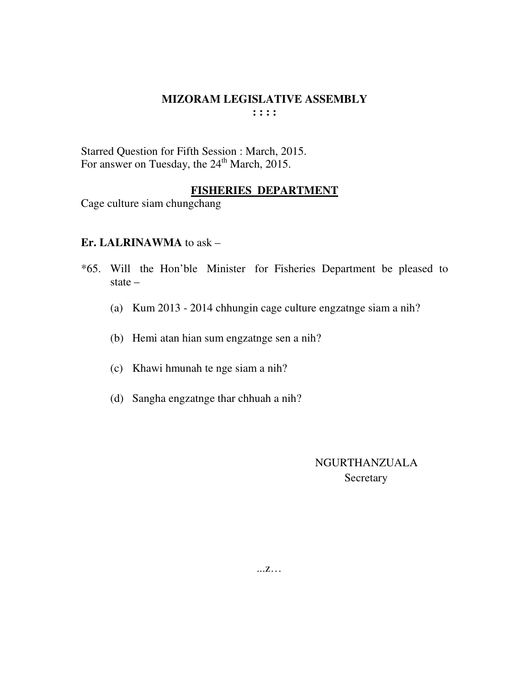Starred Question for Fifth Session : March, 2015. For answer on Tuesday, the  $24<sup>th</sup>$  March, 2015.

#### **FISHERIES DEPARTMENT**

Cage culture siam chungchang

#### **Er. LALRINAWMA** to ask –

- \*65. Will the Hon'ble Minister for Fisheries Department be pleased to state –
	- (a) Kum 2013 2014 chhungin cage culture engzatnge siam a nih?
	- (b) Hemi atan hian sum engzatnge sen a nih?
	- (c) Khawi hmunah te nge siam a nih?
	- (d) Sangha engzatnge thar chhuah a nih?

 NGURTHANZUALA **Secretary** 

...z…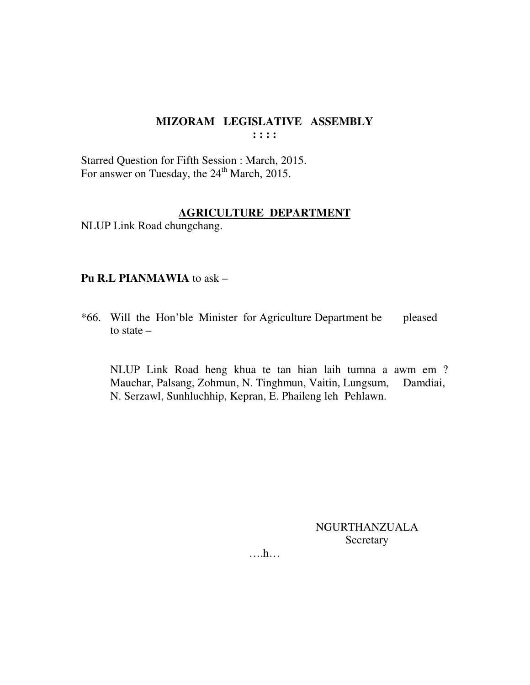Starred Question for Fifth Session : March, 2015. For answer on Tuesday, the 24<sup>th</sup> March, 2015.

#### **AGRICULTURE DEPARTMENT**

NLUP Link Road chungchang.

#### **Pu R.L PIANMAWIA** to ask –

\*66. Will the Hon'ble Minister for Agriculture Department be pleased to state –

 NLUP Link Road heng khua te tan hian laih tumna a awm em ? Mauchar, Palsang, Zohmun, N. Tinghmun, Vaitin, Lungsum, Damdiai, N. Serzawl, Sunhluchhip, Kepran, E. Phaileng leh Pehlawn.

> NGURTHANZUALA Secretary

….h…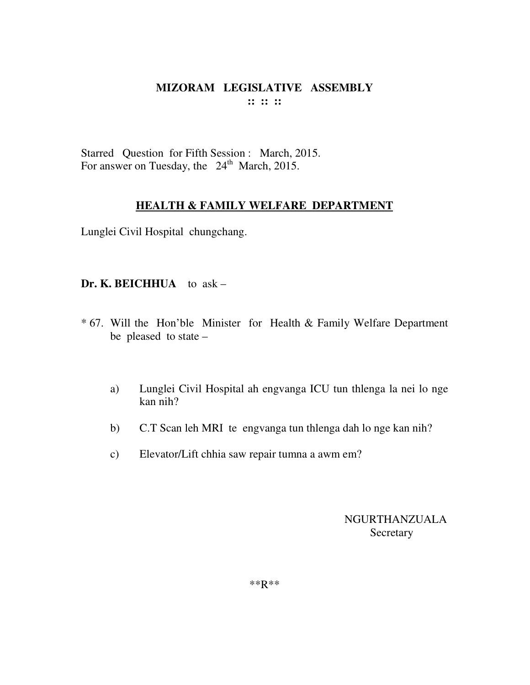Starred Question for Fifth Session : March, 2015. For answer on Tuesday, the  $24<sup>th</sup>$  March, 2015.

## **HEALTH & FAMILY WELFARE DEPARTMENT**

Lunglei Civil Hospital chungchang.

#### **Dr. K. BEICHHUA** to ask –

- \* 67. Will the Hon'ble Minister for Health & Family Welfare Department be pleased to state –
	- a) Lunglei Civil Hospital ah engvanga ICU tun thlenga la nei lo nge kan nih?
	- b) C.T Scan leh MRI te engvanga tun thlenga dah lo nge kan nih?
	- c) Elevator/Lift chhia saw repair tumna a awm em?

NGURTHANZUALA **Secretary** 

\*\*R\*\*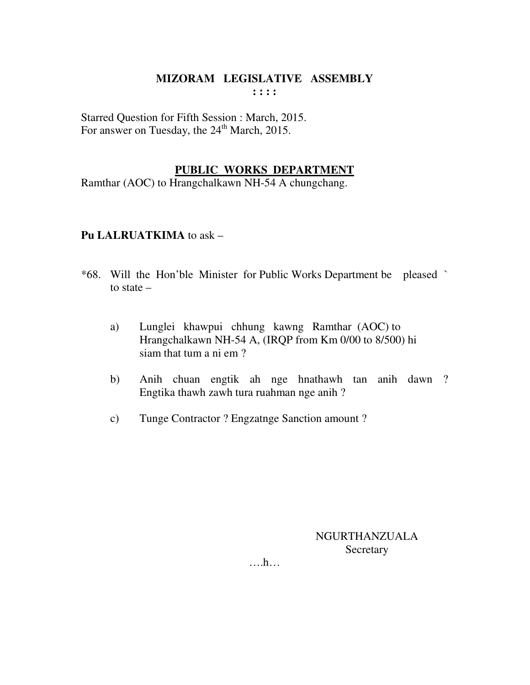Starred Question for Fifth Session : March, 2015. For answer on Tuesday, the  $24<sup>th</sup>$  March, 2015.

## **PUBLIC WORKS DEPARTMENT**

Ramthar (AOC) to Hrangchalkawn NH-54 A chungchang.

#### **Pu LALRUATKIMA** to ask –

- \*68. Will the Hon'ble Minister for Public Works Department be pleased ` to state –
	- a) Lunglei khawpui chhung kawng Ramthar (AOC) to Hrangchalkawn NH-54 A, (IRQP from Km 0/00 to 8/500) hi siam that tum a ni em ?
	- b) Anih chuan engtik ah nge hnathawh tan anih dawn ? Engtika thawh zawh tura ruahman nge anih ?
	- c) Tunge Contractor ? Engzatnge Sanction amount ?

NGURTHANZUALA **Secretary** 

….h…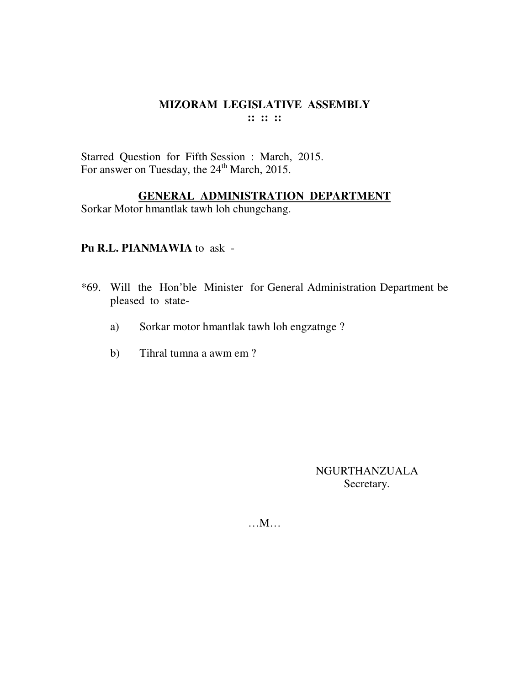Starred Question for Fifth Session : March, 2015. For answer on Tuesday, the 24<sup>th</sup> March, 2015.

# **GENERAL ADMINISTRATION DEPARTMENT**

Sorkar Motor hmantlak tawh loh chungchang.

#### **Pu R.L. PIANMAWIA** to ask -

- \*69. Will the Hon'ble Minister for General Administration Department be pleased to state
	- a) Sorkar motor hmantlak tawh loh engzatnge ?
	- b) Tihral tumna a awm em ?

NGURTHANZUALA Secretary.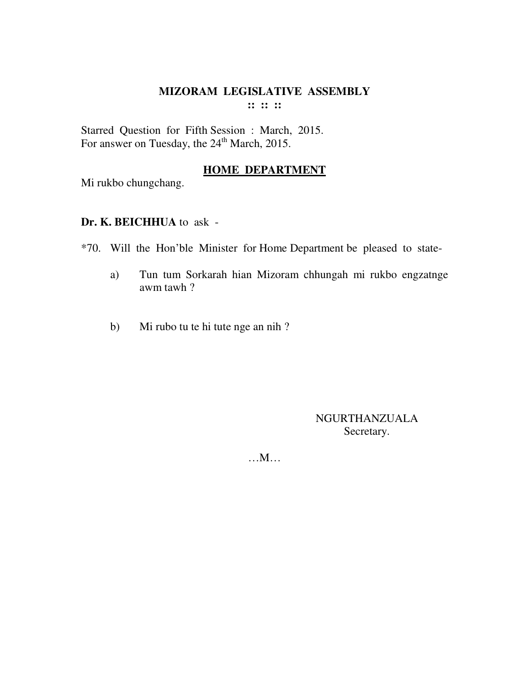Starred Question for Fifth Session : March, 2015. For answer on Tuesday, the 24<sup>th</sup> March, 2015.

## **HOME DEPARTMENT**

Mi rukbo chungchang.

## **Dr. K. BEICHHUA** to ask -

\*70. Will the Hon'ble Minister for Home Department be pleased to state-

- a) Tun tum Sorkarah hian Mizoram chhungah mi rukbo engzatnge awm tawh ?
- b) Mi rubo tu te hi tute nge an nih?

NGURTHANZUALA Secretary.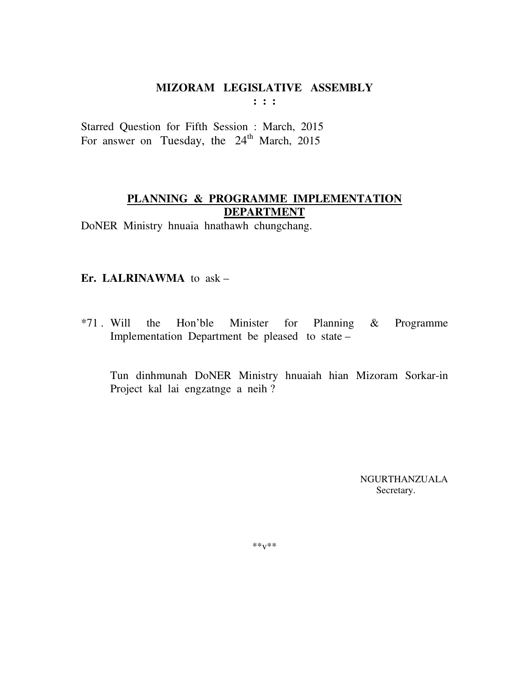# **MIZORAM LEGISLATIVE ASSEMBLY**

**: : :** 

Starred Question for Fifth Session : March, 2015 For answer on Tuesday, the  $24<sup>th</sup>$  March, 2015

# **PLANNING & PROGRAMME IMPLEMENTATION DEPARTMENT**

DoNER Ministry hnuaia hnathawh chungchang.

## **Er. LALRINAWMA** to ask –

\*71 . Will the Hon'ble Minister for Planning & Programme Implementation Department be pleased to state –

 Tun dinhmunah DoNER Ministry hnuaiah hian Mizoram Sorkar-in Project kal lai engzatnge a neih ?

> NGURTHANZUALA Secretary.

 $***v***$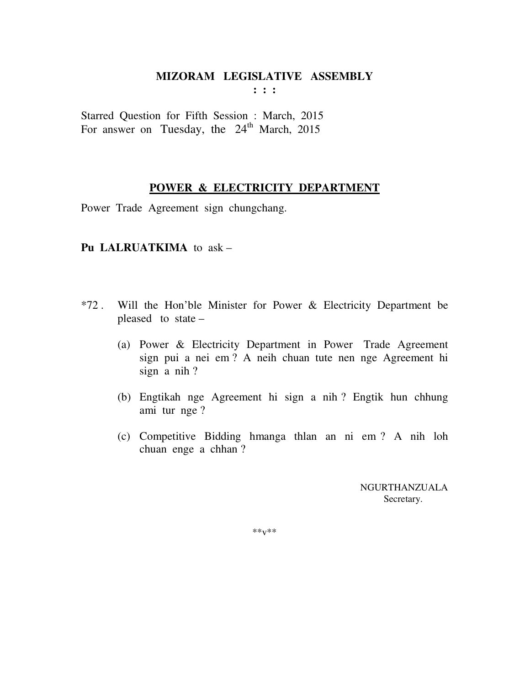# **MIZORAM LEGISLATIVE ASSEMBLY**

**: : :** 

Starred Question for Fifth Session : March, 2015 For answer on Tuesday, the  $24<sup>th</sup>$  March, 2015

#### **POWER & ELECTRICITY DEPARTMENT**

Power TradeAgreement signchungchang.

#### **Pu LALRUATKIMA** to ask –

- \*72 . Will the Hon'ble Minister for Power & Electricity Department be pleased to state –
	- (a) Power & Electricity Department in Power Trade Agreement sign pui a nei em ? A neih chuan tute nen nge Agreement hi sign a nih ?
	- (b) Engtikah nge Agreement hi sign a nih ? Engtik hun chhung ami tur nge ?
	- (c) Competitive Bidding hmanga thlan an ni em ? A nih loh chuan enge a chhan ?

 NGURTHANZUALA Secretary.

\*\*v\*\*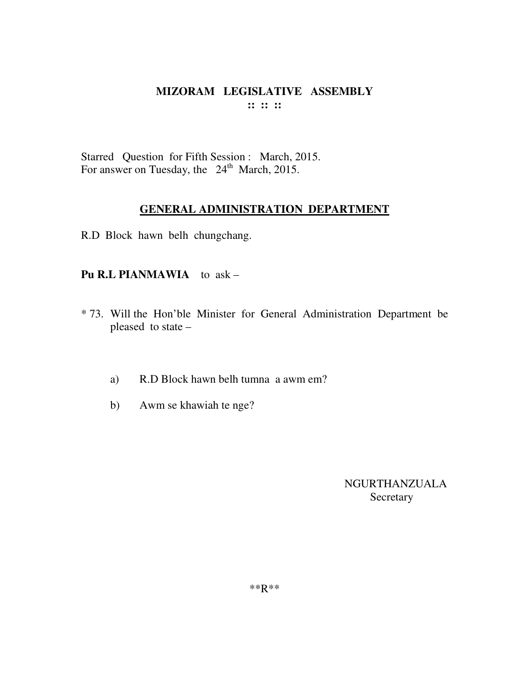Starred Question for Fifth Session : March, 2015. For answer on Tuesday, the  $24<sup>th</sup>$  March, 2015.

#### **GENERAL ADMINISTRATION DEPARTMENT**

R.D Block hawn belh chungchang.

#### **Pu R.L PIANMAWIA** to ask –

- \* 73. Will the Hon'ble Minister for General Administration Department be pleased to state –
	- a) R.D Block hawn belh tumna a awm em?
	- b) Awm se khawiah te nge?

NGURTHANZUALA Secretary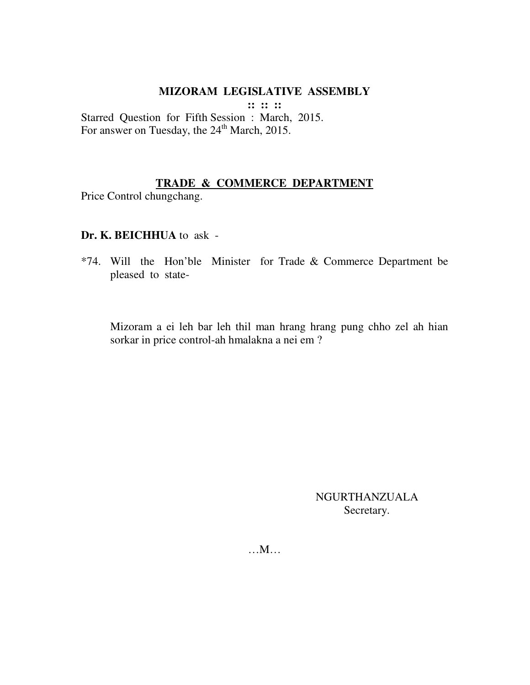## **MIZORAM LEGISLATIVE ASSEMBLY**

**:: :: ::** 

Starred Question for Fifth Session : March, 2015. For answer on Tuesday, the  $24<sup>th</sup>$  March, 2015.

## **TRADE & COMMERCE DEPARTMENT**

Price Control chungchang.

## **Dr. K. BEICHHUA** to ask -

\*74. Will the Hon'ble Minister for Trade & Commerce Department be pleased to state-

Mizoram a ei leh bar leh thil man hrang hrang pung chho zel ah hian sorkar in price control-ah hmalakna a nei em ?

> NGURTHANZUALA Secretary.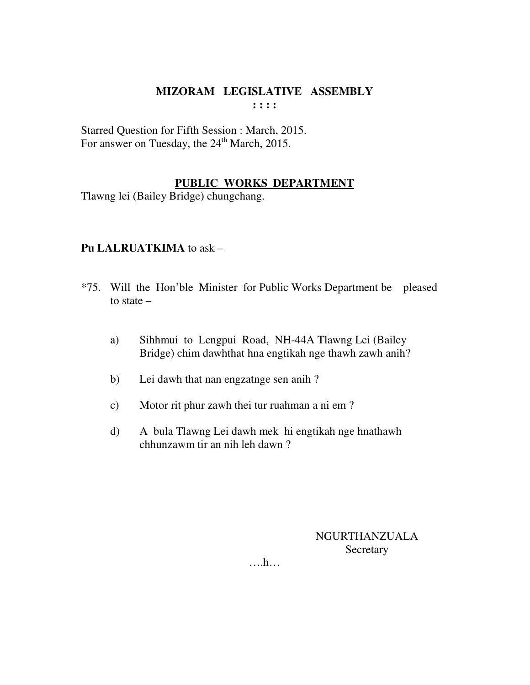Starred Question for Fifth Session : March, 2015. For answer on Tuesday, the 24<sup>th</sup> March, 2015.

# **PUBLIC WORKS DEPARTMENT**

Tlawng lei (Bailey Bridge) chungchang.

# **Pu LALRUATKIMA** to ask –

- \*75. Will the Hon'ble Minister for Public Works Department be pleased to state –
	- a) Sihhmui to Lengpui Road, NH-44A Tlawng Lei (Bailey Bridge) chim dawhthat hna engtikah nge thawh zawh anih?
	- b) Lei dawh that nan engzatnge sen anih ?
	- c) Motor rit phur zawh thei tur ruahman a ni em ?
	- d) A bula Tlawng Lei dawh mek hi engtikah nge hnathawh chhunzawm tir an nih leh dawn ?

NGURTHANZUALA **Secretary** 

….h…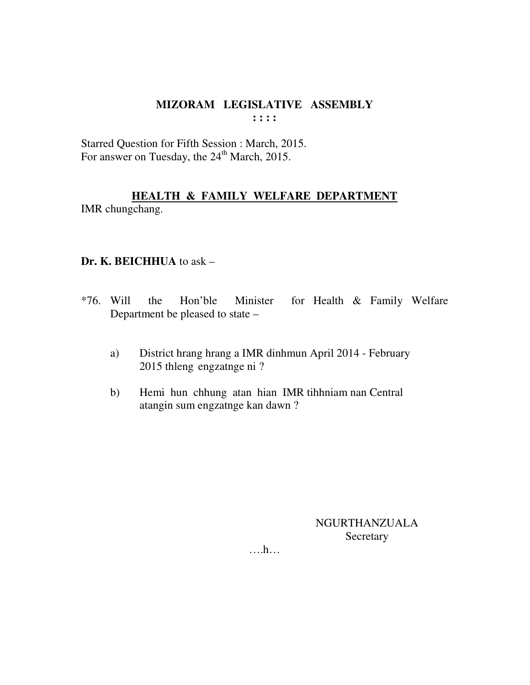Starred Question for Fifth Session : March, 2015. For answer on Tuesday, the 24<sup>th</sup> March, 2015.

# HEALTH & FAMILY WELFARE DEPARTMENT

IMR chungchang.

## Dr. K. BEICHHUA to ask -

- $*76.$  Will for Health & Family Welfare the Hon'ble Minister Department be pleased to state –
	- District hrang hrang a IMR dinhmun April 2014 February a) 2015 thleng engzatnge ni?
	- Hemi hun chhung atan hian IMR tihhniam nan Central  $b)$ atangin sum engzatnge kan dawn?

NGURTHANZUALA Secretary

 $\dots$ ...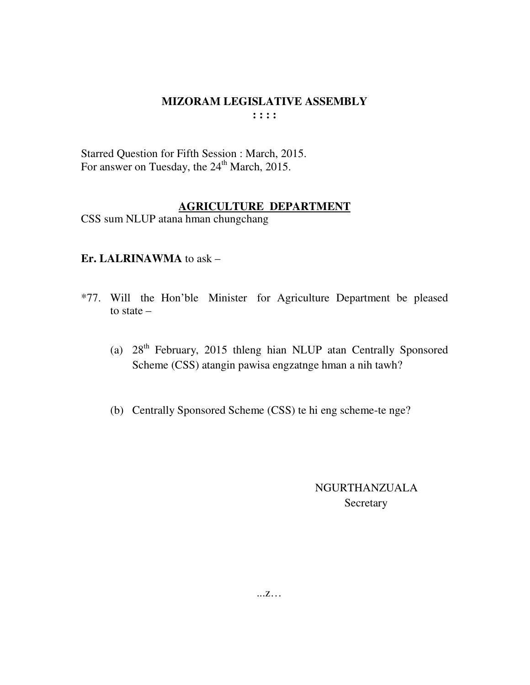Starred Question for Fifth Session : March, 2015. For answer on Tuesday, the  $24<sup>th</sup>$  March, 2015.

# **AGRICULTURE DEPARTMENT**

CSS sum NLUP atana hman chungchang

# **Er. LALRINAWMA** to ask –

- \*77. Will the Hon'ble Minister for Agriculture Department be pleased to state –
	- (a) 28th February, 2015 thleng hian NLUP atan Centrally Sponsored Scheme (CSS) atangin pawisa engzatnge hman a nih tawh?
	- (b) Centrally Sponsored Scheme (CSS) te hi eng scheme-te nge?

# NGURTHANZUALA Secretary